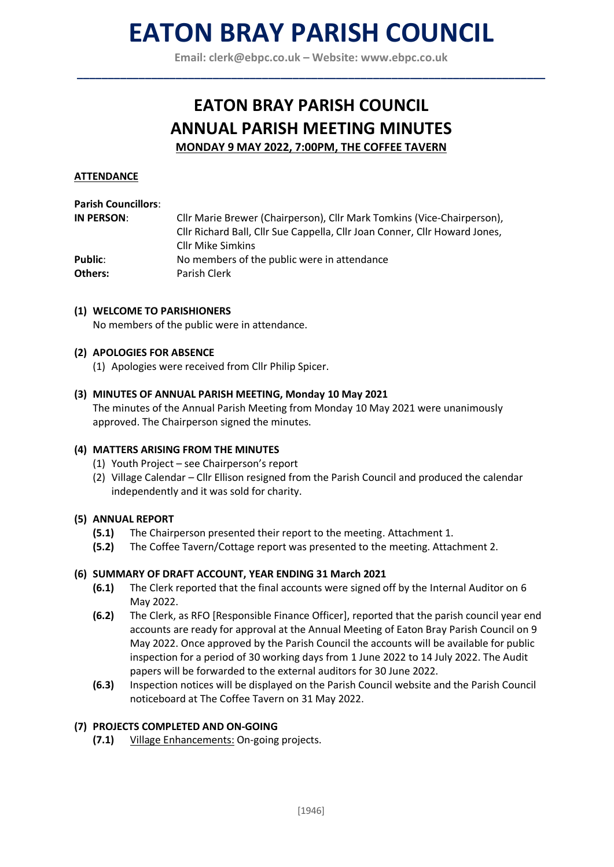## **EATON BRAY PARISH COUNCIL**

**Email: [clerk@ebpc.co.uk](mailto:clerk@ebpc.co.uk) – Website: [www.ebpc.co.uk](http://www.ebpc.co.uk/) \_\_\_\_\_\_\_\_\_\_\_\_\_\_\_\_\_\_\_\_\_\_\_\_\_\_\_\_\_\_\_\_\_\_\_\_\_\_\_\_\_\_\_\_\_\_\_\_\_\_\_\_\_\_\_\_\_\_\_\_\_\_\_\_\_\_\_\_\_\_\_\_\_\_\_\_**

### **EATON BRAY PARISH COUNCIL ANNUAL PARISH MEETING MINUTES MONDAY 9 MAY 2022, 7:00PM, THE COFFEE TAVERN**

#### **ATTENDANCE**

#### **Parish Councillors**:

| IN PERSON: | Cllr Marie Brewer (Chairperson), Cllr Mark Tomkins (Vice-Chairperson),     |
|------------|----------------------------------------------------------------------------|
|            | Cllr Richard Ball, Cllr Sue Cappella, Cllr Joan Conner, Cllr Howard Jones, |
|            | <b>Cllr Mike Simkins</b>                                                   |
| Public:    | No members of the public were in attendance                                |
| Others:    | Parish Clerk                                                               |

#### **(1) WELCOME TO PARISHIONERS**

No members of the public were in attendance.

#### **(2) APOLOGIES FOR ABSENCE**

(1) Apologies were received from Cllr Philip Spicer.

#### **(3) MINUTES OF ANNUAL PARISH MEETING, Monday 10 May 2021**

The minutes of the Annual Parish Meeting from Monday 10 May 2021 were unanimously approved. The Chairperson signed the minutes.

#### **(4) MATTERS ARISING FROM THE MINUTES**

- (1) Youth Project see Chairperson's report
- (2) Village Calendar Cllr Ellison resigned from the Parish Council and produced the calendar independently and it was sold for charity.

#### **(5) ANNUAL REPORT**

- **(5.1)** The Chairperson presented their report to the meeting. Attachment 1.
- **(5.2)** The Coffee Tavern/Cottage report was presented to the meeting. Attachment 2.

#### **(6) SUMMARY OF DRAFT ACCOUNT, YEAR ENDING 31 March 2021**

- **(6.1)** The Clerk reported that the final accounts were signed off by the Internal Auditor on 6 May 2022.
- **(6.2)** The Clerk, as RFO [Responsible Finance Officer], reported that the parish council year end accounts are ready for approval at the Annual Meeting of Eaton Bray Parish Council on 9 May 2022. Once approved by the Parish Council the accounts will be available for public inspection for a period of 30 working days from 1 June 2022 to 14 July 2022. The Audit papers will be forwarded to the external auditors for 30 June 2022.
- **(6.3)** Inspection notices will be displayed on the Parish Council website and the Parish Council noticeboard at The Coffee Tavern on 31 May 2022.

#### **(7) PROJECTS COMPLETED AND ON-GOING**

**(7.1)** Village Enhancements: On-going projects.